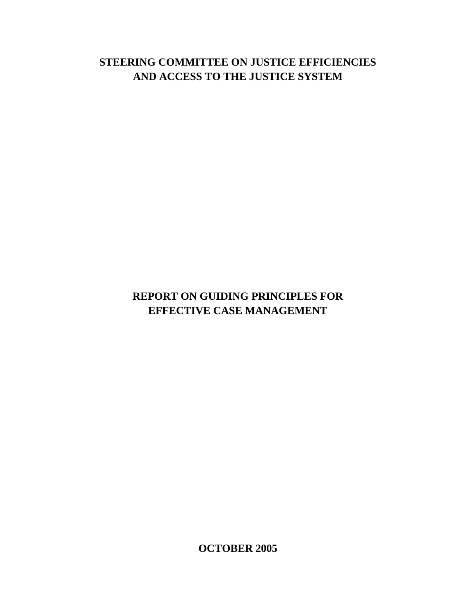# **STEERING COMMITTEE ON JUSTICE EFFICIENCIES AND ACCESS TO THE JUSTICE SYSTEM**

# **REPORT ON GUIDING PRINCIPLES FOR EFFECTIVE CASE MANAGEMENT**

**OCTOBER 2005**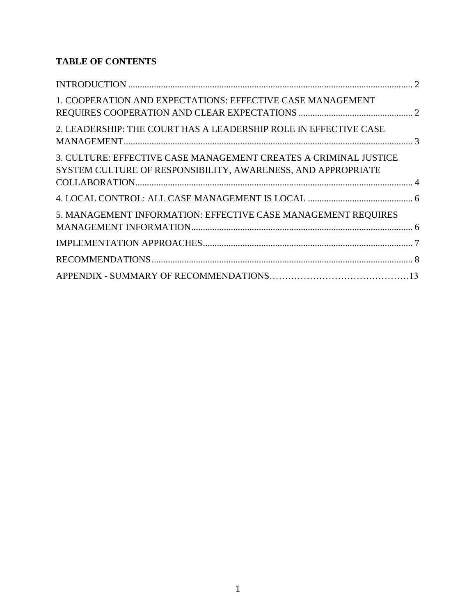## **TABLE OF CONTENTS**

| 1. COOPERATION AND EXPECTATIONS: EFFECTIVE CASE MANAGEMENT                                                                       |  |
|----------------------------------------------------------------------------------------------------------------------------------|--|
| 2. LEADERSHIP: THE COURT HAS A LEADERSHIP ROLE IN EFFECTIVE CASE                                                                 |  |
| 3. CULTURE: EFFECTIVE CASE MANAGEMENT CREATES A CRIMINAL JUSTICE<br>SYSTEM CULTURE OF RESPONSIBILITY, AWARENESS, AND APPROPRIATE |  |
|                                                                                                                                  |  |
| 5. MANAGEMENT INFORMATION: EFFECTIVE CASE MANAGEMENT REQUIRES                                                                    |  |
|                                                                                                                                  |  |
|                                                                                                                                  |  |
|                                                                                                                                  |  |
|                                                                                                                                  |  |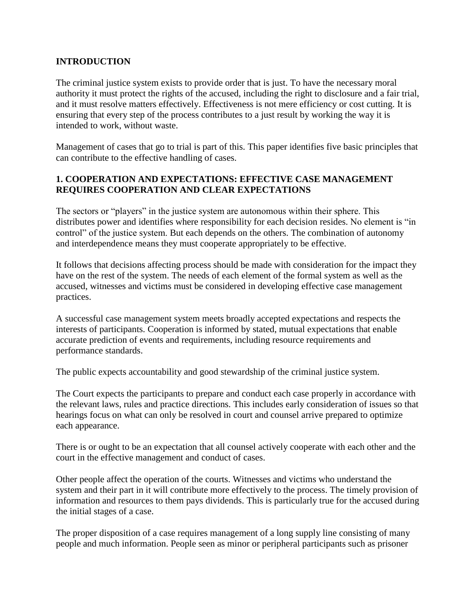#### <span id="page-2-0"></span>**INTRODUCTION**

The criminal justice system exists to provide order that is just. To have the necessary moral authority it must protect the rights of the accused, including the right to disclosure and a fair trial, and it must resolve matters effectively. Effectiveness is not mere efficiency or cost cutting. It is ensuring that every step of the process contributes to a just result by working the way it is intended to work, without waste.

Management of cases that go to trial is part of this. This paper identifies five basic principles that can contribute to the effective handling of cases.

### <span id="page-2-1"></span>**1. COOPERATION AND EXPECTATIONS: EFFECTIVE CASE MANAGEMENT REQUIRES COOPERATION AND CLEAR EXPECTATIONS**

The sectors or "players" in the justice system are autonomous within their sphere. This distributes power and identifies where responsibility for each decision resides. No element is "in control" of the justice system. But each depends on the others. The combination of autonomy and interdependence means they must cooperate appropriately to be effective.

It follows that decisions affecting process should be made with consideration for the impact they have on the rest of the system. The needs of each element of the formal system as well as the accused, witnesses and victims must be considered in developing effective case management practices.

A successful case management system meets broadly accepted expectations and respects the interests of participants. Cooperation is informed by stated, mutual expectations that enable accurate prediction of events and requirements, including resource requirements and performance standards.

The public expects accountability and good stewardship of the criminal justice system.

The Court expects the participants to prepare and conduct each case properly in accordance with the relevant laws, rules and practice directions. This includes early consideration of issues so that hearings focus on what can only be resolved in court and counsel arrive prepared to optimize each appearance.

There is or ought to be an expectation that all counsel actively cooperate with each other and the court in the effective management and conduct of cases.

Other people affect the operation of the courts. Witnesses and victims who understand the system and their part in it will contribute more effectively to the process. The timely provision of information and resources to them pays dividends. This is particularly true for the accused during the initial stages of a case.

The proper disposition of a case requires management of a long supply line consisting of many people and much information. People seen as minor or peripheral participants such as prisoner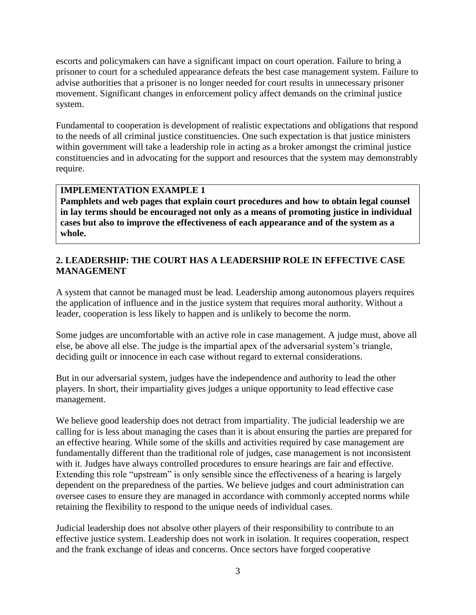escorts and policymakers can have a significant impact on court operation. Failure to bring a prisoner to court for a scheduled appearance defeats the best case management system. Failure to advise authorities that a prisoner is no longer needed for court results in unnecessary prisoner movement. Significant changes in enforcement policy affect demands on the criminal justice system.

Fundamental to cooperation is development of realistic expectations and obligations that respond to the needs of all criminal justice constituencies. One such expectation is that justice ministers within government will take a leadership role in acting as a broker amongst the criminal justice constituencies and in advocating for the support and resources that the system may demonstrably require.

### **IMPLEMENTATION EXAMPLE 1**

**Pamphlets and web pages that explain court procedures and how to obtain legal counsel in lay terms should be encouraged not only as a means of promoting justice in individual cases but also to improve the effectiveness of each appearance and of the system as a whole.**

#### <span id="page-3-0"></span>**2. LEADERSHIP: THE COURT HAS A LEADERSHIP ROLE IN EFFECTIVE CASE MANAGEMENT**

A system that cannot be managed must be lead. Leadership among autonomous players requires the application of influence and in the justice system that requires moral authority. Without a leader, cooperation is less likely to happen and is unlikely to become the norm.

Some judges are uncomfortable with an active role in case management. A judge must, above all else, be above all else. The judge is the impartial apex of the adversarial system's triangle, deciding guilt or innocence in each case without regard to external considerations.

But in our adversarial system, judges have the independence and authority to lead the other players. In short, their impartiality gives judges a unique opportunity to lead effective case management.

We believe good leadership does not detract from impartiality. The judicial leadership we are calling for is less about managing the cases than it is about ensuring the parties are prepared for an effective hearing. While some of the skills and activities required by case management are fundamentally different than the traditional role of judges, case management is not inconsistent with it. Judges have always controlled procedures to ensure hearings are fair and effective. Extending this role "upstream" is only sensible since the effectiveness of a hearing is largely dependent on the preparedness of the parties. We believe judges and court administration can oversee cases to ensure they are managed in accordance with commonly accepted norms while retaining the flexibility to respond to the unique needs of individual cases.

Judicial leadership does not absolve other players of their responsibility to contribute to an effective justice system. Leadership does not work in isolation. It requires cooperation, respect and the frank exchange of ideas and concerns. Once sectors have forged cooperative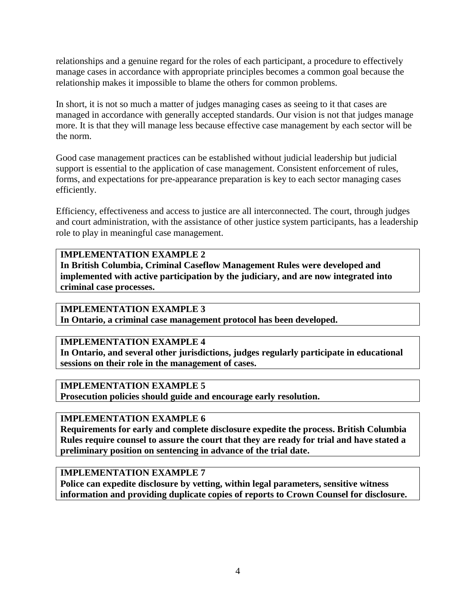relationships and a genuine regard for the roles of each participant, a procedure to effectively manage cases in accordance with appropriate principles becomes a common goal because the relationship makes it impossible to blame the others for common problems.

In short, it is not so much a matter of judges managing cases as seeing to it that cases are managed in accordance with generally accepted standards. Our vision is not that judges manage more. It is that they will manage less because effective case management by each sector will be the norm.

Good case management practices can be established without judicial leadership but judicial support is essential to the application of case management. Consistent enforcement of rules, forms, and expectations for pre-appearance preparation is key to each sector managing cases efficiently.

Efficiency, effectiveness and access to justice are all interconnected. The court, through judges and court administration, with the assistance of other justice system participants, has a leadership role to play in meaningful case management.

#### **IMPLEMENTATION EXAMPLE 2**

**In British Columbia, Criminal Caseflow Management Rules were developed and implemented with active participation by the judiciary, and are now integrated into criminal case processes.**

#### **IMPLEMENTATION EXAMPLE 3**

**In Ontario, a criminal case management protocol has been developed.**

### **IMPLEMENTATION EXAMPLE 4**

**In Ontario, and several other jurisdictions, judges regularly participate in educational sessions on their role in the management of cases.**

#### **IMPLEMENTATION EXAMPLE 5**

**Prosecution policies should guide and encourage early resolution.**

#### **IMPLEMENTATION EXAMPLE 6**

**Requirements for early and complete disclosure expedite the process. British Columbia Rules require counsel to assure the court that they are ready for trial and have stated a preliminary position on sentencing in advance of the trial date.**

#### **IMPLEMENTATION EXAMPLE 7**

<span id="page-4-0"></span>**Police can expedite disclosure by vetting, within legal parameters, sensitive witness information and providing duplicate copies of reports to Crown Counsel for disclosure.**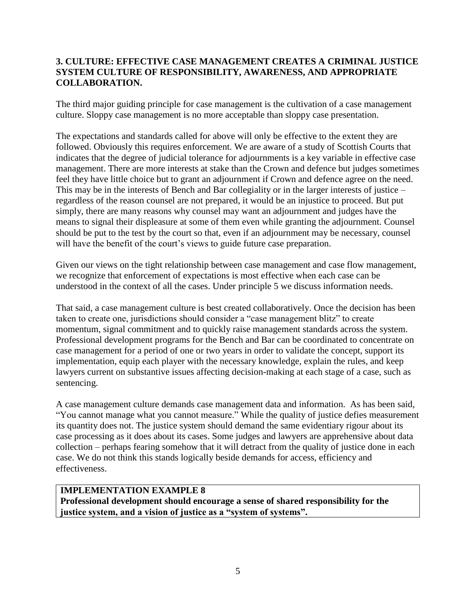#### **3. CULTURE: EFFECTIVE CASE MANAGEMENT CREATES A CRIMINAL JUSTICE SYSTEM CULTURE OF RESPONSIBILITY, AWARENESS, AND APPROPRIATE COLLABORATION.**

The third major guiding principle for case management is the cultivation of a case management culture. Sloppy case management is no more acceptable than sloppy case presentation.

The expectations and standards called for above will only be effective to the extent they are followed. Obviously this requires enforcement. We are aware of a study of Scottish Courts that indicates that the degree of judicial tolerance for adjournments is a key variable in effective case management. There are more interests at stake than the Crown and defence but judges sometimes feel they have little choice but to grant an adjournment if Crown and defence agree on the need. This may be in the interests of Bench and Bar collegiality or in the larger interests of justice – regardless of the reason counsel are not prepared, it would be an injustice to proceed. But put simply, there are many reasons why counsel may want an adjournment and judges have the means to signal their displeasure at some of them even while granting the adjournment. Counsel should be put to the test by the court so that, even if an adjournment may be necessary, counsel will have the benefit of the court's views to guide future case preparation.

Given our views on the tight relationship between case management and case flow management, we recognize that enforcement of expectations is most effective when each case can be understood in the context of all the cases. Under principle 5 we discuss information needs.

That said, a case management culture is best created collaboratively. Once the decision has been taken to create one, jurisdictions should consider a "case management blitz" to create momentum, signal commitment and to quickly raise management standards across the system. Professional development programs for the Bench and Bar can be coordinated to concentrate on case management for a period of one or two years in order to validate the concept, support its implementation, equip each player with the necessary knowledge, explain the rules, and keep lawyers current on substantive issues affecting decision-making at each stage of a case, such as sentencing.

A case management culture demands case management data and information. As has been said, "You cannot manage what you cannot measure." While the quality of justice defies measurement its quantity does not. The justice system should demand the same evidentiary rigour about its case processing as it does about its cases. Some judges and lawyers are apprehensive about data collection – perhaps fearing somehow that it will detract from the quality of justice done in each case. We do not think this stands logically beside demands for access, efficiency and effectiveness.

#### **IMPLEMENTATION EXAMPLE 8**

<span id="page-5-0"></span>**Professional development should encourage a sense of shared responsibility for the justice system, and a vision of justice as a "system of systems".**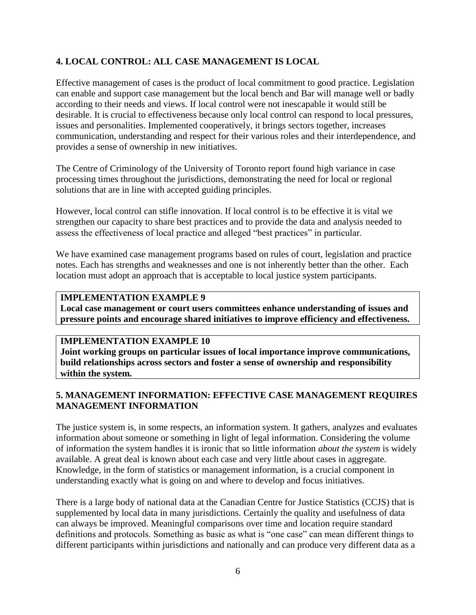### **4. LOCAL CONTROL: ALL CASE MANAGEMENT IS LOCAL**

Effective management of cases is the product of local commitment to good practice. Legislation can enable and support case management but the local bench and Bar will manage well or badly according to their needs and views. If local control were not inescapable it would still be desirable. It is crucial to effectiveness because only local control can respond to local pressures, issues and personalities. Implemented cooperatively, it brings sectors together, increases communication, understanding and respect for their various roles and their interdependence, and provides a sense of ownership in new initiatives.

The Centre of Criminology of the University of Toronto report found high variance in case processing times throughout the jurisdictions, demonstrating the need for local or regional solutions that are in line with accepted guiding principles.

However, local control can stifle innovation. If local control is to be effective it is vital we strengthen our capacity to share best practices and to provide the data and analysis needed to assess the effectiveness of local practice and alleged "best practices" in particular.

We have examined case management programs based on rules of court, legislation and practice notes. Each has strengths and weaknesses and one is not inherently better than the other. Each location must adopt an approach that is acceptable to local justice system participants.

#### **IMPLEMENTATION EXAMPLE 9**

**Local case management or court users committees enhance understanding of issues and pressure points and encourage shared initiatives to improve efficiency and effectiveness.**

#### **IMPLEMENTATION EXAMPLE 10**

**Joint working groups on particular issues of local importance improve communications, build relationships across sectors and foster a sense of ownership and responsibility within the system.**

#### <span id="page-6-0"></span>**5. MANAGEMENT INFORMATION: EFFECTIVE CASE MANAGEMENT REQUIRES MANAGEMENT INFORMATION**

The justice system is, in some respects, an information system. It gathers, analyzes and evaluates information about someone or something in light of legal information. Considering the volume of information the system handles it is ironic that so little information *about the system* is widely available. A great deal is known about each case and very little about cases in aggregate. Knowledge, in the form of statistics or management information, is a crucial component in understanding exactly what is going on and where to develop and focus initiatives.

There is a large body of national data at the Canadian Centre for Justice Statistics (CCJS) that is supplemented by local data in many jurisdictions. Certainly the quality and usefulness of data can always be improved. Meaningful comparisons over time and location require standard definitions and protocols. Something as basic as what is "one case" can mean different things to different participants within jurisdictions and nationally and can produce very different data as a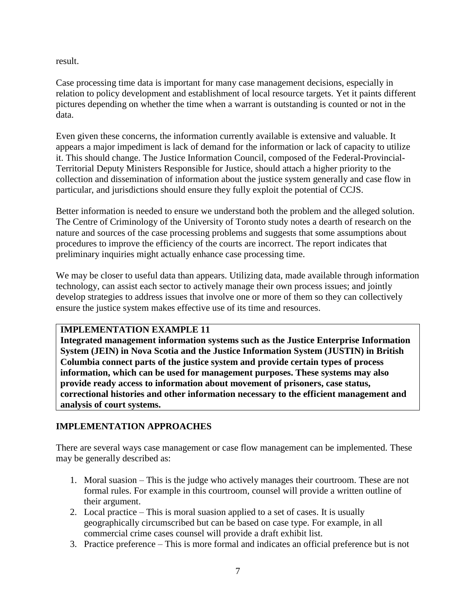result.

Case processing time data is important for many case management decisions, especially in relation to policy development and establishment of local resource targets. Yet it paints different pictures depending on whether the time when a warrant is outstanding is counted or not in the data.

Even given these concerns, the information currently available is extensive and valuable. It appears a major impediment is lack of demand for the information or lack of capacity to utilize it. This should change. The Justice Information Council, composed of the Federal-Provincial-Territorial Deputy Ministers Responsible for Justice, should attach a higher priority to the collection and dissemination of information about the justice system generally and case flow in particular, and jurisdictions should ensure they fully exploit the potential of CCJS.

Better information is needed to ensure we understand both the problem and the alleged solution. The Centre of Criminology of the University of Toronto study notes a dearth of research on the nature and sources of the case processing problems and suggests that some assumptions about procedures to improve the efficiency of the courts are incorrect. The report indicates that preliminary inquiries might actually enhance case processing time.

We may be closer to useful data than appears. Utilizing data, made available through information technology, can assist each sector to actively manage their own process issues; and jointly develop strategies to address issues that involve one or more of them so they can collectively ensure the justice system makes effective use of its time and resources.

#### **IMPLEMENTATION EXAMPLE 11**

**Integrated management information systems such as the Justice Enterprise Information System (JEIN) in Nova Scotia and the Justice Information System (JUSTIN) in British Columbia connect parts of the justice system and provide certain types of process information, which can be used for management purposes. These systems may also provide ready access to information about movement of prisoners, case status, correctional histories and other information necessary to the efficient management and analysis of court systems.**

#### <span id="page-7-0"></span>**IMPLEMENTATION APPROACHES**

There are several ways case management or case flow management can be implemented. These may be generally described as:

- 1. Moral suasion This is the judge who actively manages their courtroom. These are not formal rules. For example in this courtroom, counsel will provide a written outline of their argument.
- 2. Local practice This is moral suasion applied to a set of cases. It is usually geographically circumscribed but can be based on case type. For example, in all commercial crime cases counsel will provide a draft exhibit list.
- 3. Practice preference This is more formal and indicates an official preference but is not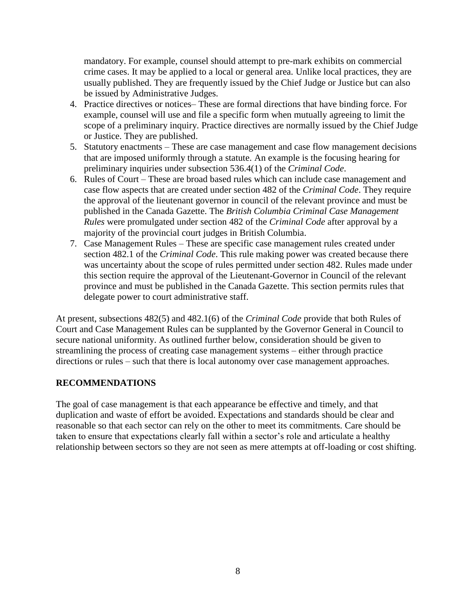mandatory. For example, counsel should attempt to pre-mark exhibits on commercial crime cases. It may be applied to a local or general area. Unlike local practices, they are usually published. They are frequently issued by the Chief Judge or Justice but can also be issued by Administrative Judges.

- 4. Practice directives or notices– These are formal directions that have binding force. For example, counsel will use and file a specific form when mutually agreeing to limit the scope of a preliminary inquiry. Practice directives are normally issued by the Chief Judge or Justice. They are published.
- 5. Statutory enactments These are case management and case flow management decisions that are imposed uniformly through a statute. An example is the focusing hearing for preliminary inquiries under subsection 536.4(1) of the *Criminal Code*.
- 6. Rules of Court These are broad based rules which can include case management and case flow aspects that are created under section 482 of the *Criminal Code*. They require the approval of the lieutenant governor in council of the relevant province and must be published in the Canada Gazette. The *British Columbia Criminal Case Management Rules* were promulgated under section 482 of the *Criminal Code* after approval by a majority of the provincial court judges in British Columbia.
- 7. Case Management Rules These are specific case management rules created under section 482.1 of the *Criminal Code*. This rule making power was created because there was uncertainty about the scope of rules permitted under section 482. Rules made under this section require the approval of the Lieutenant-Governor in Council of the relevant province and must be published in the Canada Gazette. This section permits rules that delegate power to court administrative staff.

At present, subsections 482(5) and 482.1(6) of the *Criminal Code* provide that both Rules of Court and Case Management Rules can be supplanted by the Governor General in Council to secure national uniformity. As outlined further below, consideration should be given to streamlining the process of creating case management systems – either through practice directions or rules – such that there is local autonomy over case management approaches.

#### <span id="page-8-0"></span>**RECOMMENDATIONS**

The goal of case management is that each appearance be effective and timely, and that duplication and waste of effort be avoided. Expectations and standards should be clear and reasonable so that each sector can rely on the other to meet its commitments. Care should be taken to ensure that expectations clearly fall within a sector's role and articulate a healthy relationship between sectors so they are not seen as mere attempts at off-loading or cost shifting.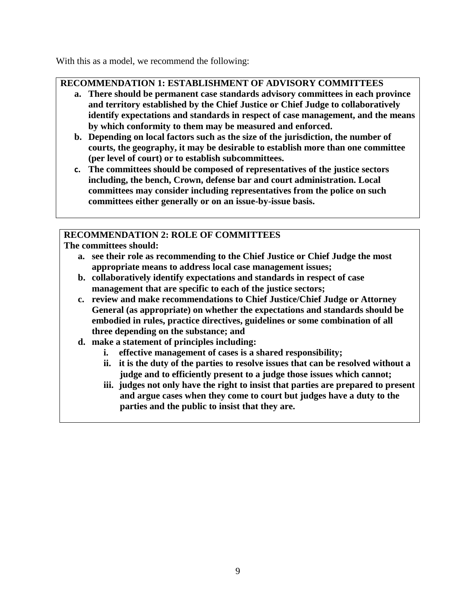With this as a model, we recommend the following:

## **RECOMMENDATION 1: ESTABLISHMENT OF ADVISORY COMMITTEES**

- **a. There should be permanent case standards advisory committees in each province and territory established by the Chief Justice or Chief Judge to collaboratively identify expectations and standards in respect of case management, and the means by which conformity to them may be measured and enforced.**
- **b. Depending on local factors such as the size of the jurisdiction, the number of courts, the geography, it may be desirable to establish more than one committee (per level of court) or to establish subcommittees.**
- **c. The committees should be composed of representatives of the justice sectors including, the bench, Crown, defense bar and court administration. Local committees may consider including representatives from the police on such committees either generally or on an issue-by-issue basis.**

### **RECOMMENDATION 2: ROLE OF COMMITTEES**

**The committees should:**

- **a. see their role as recommending to the Chief Justice or Chief Judge the most appropriate means to address local case management issues;**
- **b. collaboratively identify expectations and standards in respect of case management that are specific to each of the justice sectors;**
- **c. review and make recommendations to Chief Justice/Chief Judge or Attorney General (as appropriate) on whether the expectations and standards should be embodied in rules, practice directives, guidelines or some combination of all three depending on the substance; and**
- **d. make a statement of principles including:**
	- **i. effective management of cases is a shared responsibility;**
	- **ii. it is the duty of the parties to resolve issues that can be resolved without a judge and to efficiently present to a judge those issues which cannot;**
	- **iii. judges not only have the right to insist that parties are prepared to present and argue cases when they come to court but judges have a duty to the parties and the public to insist that they are.**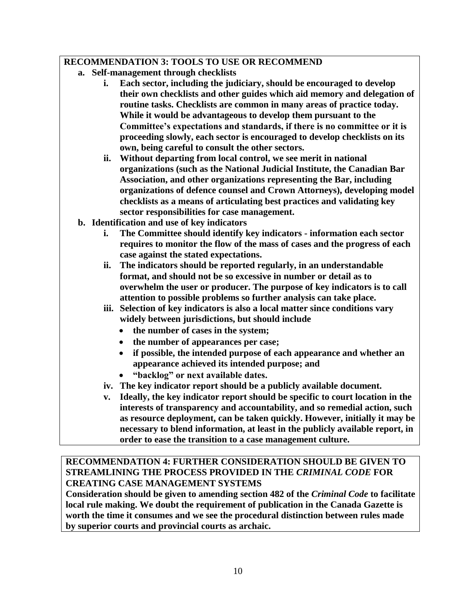#### **RECOMMENDATION 3: TOOLS TO USE OR RECOMMEND**

- **a. Self-management through checklists**
	- **i. Each sector, including the judiciary, should be encouraged to develop their own checklists and other guides which aid memory and delegation of routine tasks. Checklists are common in many areas of practice today. While it would be advantageous to develop them pursuant to the Committee's expectations and standards, if there is no committee or it is proceeding slowly, each sector is encouraged to develop checklists on its own, being careful to consult the other sectors.**
	- **ii. Without departing from local control, we see merit in national organizations (such as the National Judicial Institute, the Canadian Bar Association, and other organizations representing the Bar, including organizations of defence counsel and Crown Attorneys), developing model checklists as a means of articulating best practices and validating key sector responsibilities for case management.**
- **b. Identification and use of key indicators**
	- **i. The Committee should identify key indicators - information each sector requires to monitor the flow of the mass of cases and the progress of each case against the stated expectations.**
	- **ii. The indicators should be reported regularly, in an understandable format, and should not be so excessive in number or detail as to overwhelm the user or producer. The purpose of key indicators is to call attention to possible problems so further analysis can take place.**
	- **iii. Selection of key indicators is also a local matter since conditions vary widely between jurisdictions, but should include**
		- **the number of cases in the system;**
		- **the number of appearances per case;**
		- **if possible, the intended purpose of each appearance and whether an appearance achieved its intended purpose; and**
		- **"backlog" or next available dates.**
	- **iv. The key indicator report should be a publicly available document.**
	- **v. Ideally, the key indicator report should be specific to court location in the interests of transparency and accountability, and so remedial action, such as resource deployment, can be taken quickly. However, initially it may be necessary to blend information, at least in the publicly available report, in order to ease the transition to a case management culture.**

#### **RECOMMENDATION 4: FURTHER CONSIDERATION SHOULD BE GIVEN TO STREAMLINING THE PROCESS PROVIDED IN THE** *CRIMINAL CODE* **FOR CREATING CASE MANAGEMENT SYSTEMS**

**Consideration should be given to amending section 482 of the** *Criminal Code* **to facilitate local rule making. We doubt the requirement of publication in the Canada Gazette is worth the time it consumes and we see the procedural distinction between rules made by superior courts and provincial courts as archaic.**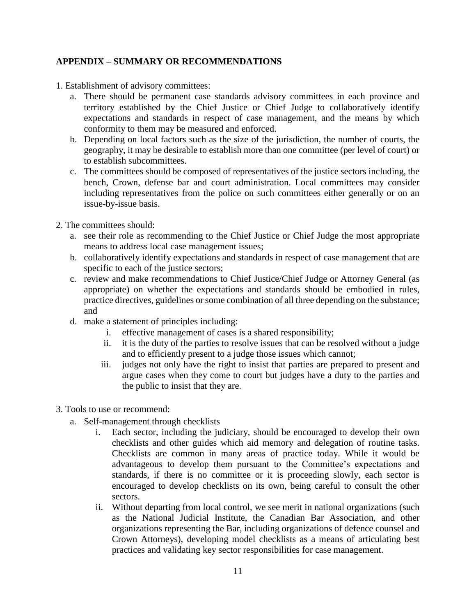#### **APPENDIX – SUMMARY OR RECOMMENDATIONS**

- 1. Establishment of advisory committees:
	- a. There should be permanent case standards advisory committees in each province and territory established by the Chief Justice or Chief Judge to collaboratively identify expectations and standards in respect of case management, and the means by which conformity to them may be measured and enforced.
	- b. Depending on local factors such as the size of the jurisdiction, the number of courts, the geography, it may be desirable to establish more than one committee (per level of court) or to establish subcommittees.
	- c. The committees should be composed of representatives of the justice sectors including, the bench, Crown, defense bar and court administration. Local committees may consider including representatives from the police on such committees either generally or on an issue-by-issue basis.
- 2. The committees should:
	- a. see their role as recommending to the Chief Justice or Chief Judge the most appropriate means to address local case management issues;
	- b. collaboratively identify expectations and standards in respect of case management that are specific to each of the justice sectors;
	- c. review and make recommendations to Chief Justice/Chief Judge or Attorney General (as appropriate) on whether the expectations and standards should be embodied in rules, practice directives, guidelines or some combination of all three depending on the substance; and
	- d. make a statement of principles including:
		- i. effective management of cases is a shared responsibility;
		- ii. it is the duty of the parties to resolve issues that can be resolved without a judge and to efficiently present to a judge those issues which cannot;
		- iii. judges not only have the right to insist that parties are prepared to present and argue cases when they come to court but judges have a duty to the parties and the public to insist that they are.
- 3. Tools to use or recommend:
	- a. Self-management through checklists
		- i. Each sector, including the judiciary, should be encouraged to develop their own checklists and other guides which aid memory and delegation of routine tasks. Checklists are common in many areas of practice today. While it would be advantageous to develop them pursuant to the Committee's expectations and standards, if there is no committee or it is proceeding slowly, each sector is encouraged to develop checklists on its own, being careful to consult the other sectors.
		- ii. Without departing from local control, we see merit in national organizations (such as the National Judicial Institute, the Canadian Bar Association, and other organizations representing the Bar, including organizations of defence counsel and Crown Attorneys), developing model checklists as a means of articulating best practices and validating key sector responsibilities for case management.